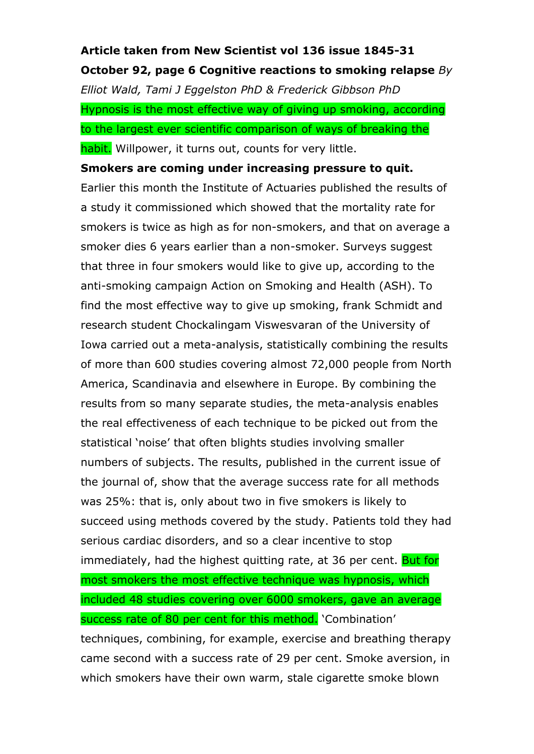## **Article taken from New Scientist vol 136 issue 1845-31 October 92, page 6 Cognitive reactions to smoking relapse** *By*

*Elliot Wald, Tami J Eggelston PhD & Frederick Gibbson PhD* Hypnosis is the most effective way of giving up smoking, according to the largest ever scientific comparison of ways of breaking the habit. Willpower, it turns out, counts for very little.

## **Smokers are coming under increasing pressure to quit.**

Earlier this month the Institute of Actuaries published the results of a study it commissioned which showed that the mortality rate for smokers is twice as high as for non-smokers, and that on average a smoker dies 6 years earlier than a non-smoker. Surveys suggest that three in four smokers would like to give up, according to the anti-smoking campaign Action on Smoking and Health (ASH). To find the most effective way to give up smoking, frank Schmidt and research student Chockalingam Viswesvaran of the University of Iowa carried out a meta-analysis, statistically combining the results of more than 600 studies covering almost 72,000 people from North America, Scandinavia and elsewhere in Europe. By combining the results from so many separate studies, the meta-analysis enables the real effectiveness of each technique to be picked out from the statistical 'noise' that often blights studies involving smaller numbers of subjects. The results, published in the current issue of the journal of, show that the average success rate for all methods was 25%: that is, only about two in five smokers is likely to succeed using methods covered by the study. Patients told they had serious cardiac disorders, and so a clear incentive to stop immediately, had the highest quitting rate, at 36 per cent. But for most smokers the most effective technique was hypnosis, which included 48 studies covering over 6000 smokers, gave an average success rate of 80 per cent for this method. 'Combination' techniques, combining, for example, exercise and breathing therapy came second with a success rate of 29 per cent. Smoke aversion, in which smokers have their own warm, stale cigarette smoke blown